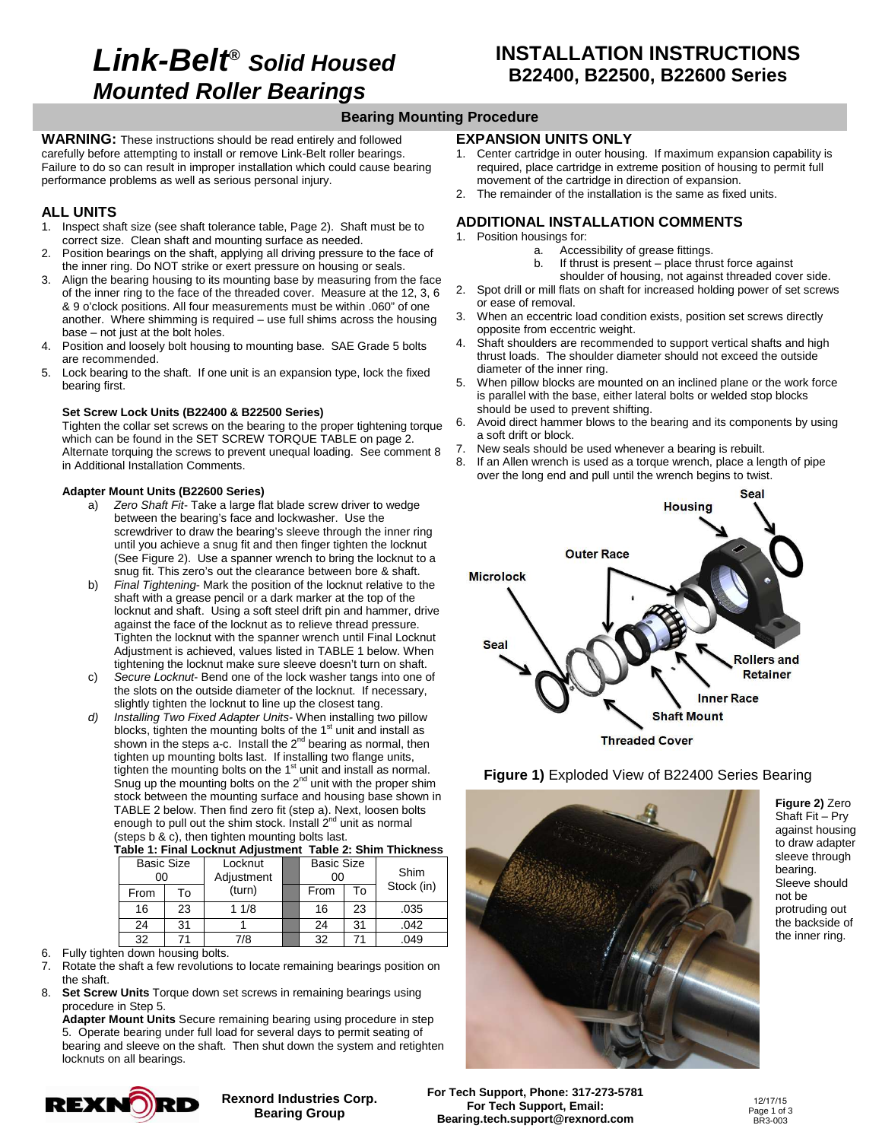## **Link-Belt® Solid Housed Mounted Roller Bearings**

## **Bearing Mounting Procedure**

**WARNING:** These instructions should be read entirely and followed carefully before attempting to install or remove Link-Belt roller bearings. Failure to do so can result in improper installation which could cause bearing performance problems as well as serious personal injury.

#### **ALL UNITS**

- 1. Inspect shaft size (see shaft tolerance table, Page 2). Shaft must be to correct size. Clean shaft and mounting surface as needed.
- 2. Position bearings on the shaft, applying all driving pressure to the face of the inner ring. Do NOT strike or exert pressure on housing or seals.
- 3. Align the bearing housing to its mounting base by measuring from the face of the inner ring to the face of the threaded cover. Measure at the 12, 3, 6 & 9 o'clock positions. All four measurements must be within .060" of one another. Where shimming is required – use full shims across the housing base – not just at the bolt holes.
- Position and loosely bolt housing to mounting base. SAE Grade 5 bolts are recommended.
- 5. Lock bearing to the shaft. If one unit is an expansion type, lock the fixed bearing first.

#### **Set Screw Lock Units (B22400 & B22500 Series)**

Tighten the collar set screws on the bearing to the proper tightening torque which can be found in the SET SCREW TORQUE TABLE on page 2. Alternate torquing the screws to prevent unequal loading. See comment 8 in Additional Installation Comments.

#### **Adapter Mount Units (B22600 Series)**

- a) Zero Shaft Fit- Take a large flat blade screw driver to wedge between the bearing's face and lockwasher. Use the screwdriver to draw the bearing's sleeve through the inner ring until you achieve a snug fit and then finger tighten the locknut (See Figure 2). Use a spanner wrench to bring the locknut to a snug fit. This zero's out the clearance between bore & shaft.
- b) Final Tightening-Mark the position of the locknut relative to the shaft with a grease pencil or a dark marker at the top of the locknut and shaft. Using a soft steel drift pin and hammer, drive against the face of the locknut as to relieve thread pressure. Tighten the locknut with the spanner wrench until Final Locknut Adjustment is achieved, values listed in TABLE 1 below. When tightening the locknut make sure sleeve doesn't turn on shaft.
- c) Secure Locknut- Bend one of the lock washer tangs into one of the slots on the outside diameter of the locknut. If necessary, slightly tighten the locknut to line up the closest tang.
- d) Installing Two Fixed Adapter Units-When installing two pillow blocks, tighten the mounting bolts of the  $1<sup>st</sup>$  unit and install as shown in the steps a-c. Install the  $2<sup>nd</sup>$  bearing as normal, then tighten up mounting bolts last. If installing two flange units, tighten the mounting bolts on the 1<sup>st</sup> unit and install as normal. Snug up the mounting bolts on the  $2^{nd}$  unit with the proper shim stock between the mounting surface and housing base shown in TABLE 2 below. Then find zero fit (step a). Next, loosen bolts enough to pull out the shim stock. Install 2<sup>nd</sup> unit as normal (steps b & c), then tighten mounting bolts last.

|  |  |  |  | Table 1: Final Locknut Adjustment Table 2: Shim Thickness |
|--|--|--|--|-----------------------------------------------------------|
|  |  |  |  |                                                           |

| <b>Basic Size</b><br>00 |    | Locknut<br>Adjustment | <b>Basic Size</b><br>00 |    | Shim       |  |  |
|-------------------------|----|-----------------------|-------------------------|----|------------|--|--|
| From                    | То | (turn)                | From                    | То | Stock (in) |  |  |
| 16                      | 23 | 11/8                  | 16                      | 23 | .035       |  |  |
| 24                      | 31 |                       | 24                      | 31 | .042       |  |  |
| 32                      |    | 7/8                   | 32                      |    | 049        |  |  |

- 6. Fully tighten down housing bolts.
- 7. Rotate the shaft a few revolutions to locate remaining bearings position on the shaft.
- 8. **Set Screw Units** Torque down set screws in remaining bearings using procedure in Step 5.

**Adapter Mount Units** Secure remaining bearing using procedure in step 5. Operate bearing under full load for several days to permit seating of bearing and sleeve on the shaft. Then shut down the system and retighten locknuts on all bearings.

> **Rexnord Industries Corp. Bearing Group**

# **REXNORD**

## **EXPANSION UNITS ONLY**

- 1. Center cartridge in outer housing. If maximum expansion capability is required, place cartridge in extreme position of housing to permit full movement of the cartridge in direction of expansion.
- 2. The remainder of the installation is the same as fixed units.

## **ADDITIONAL INSTALLATION COMMENTS**

- 1. Position housings for:
	- a. Accessibility of grease fittings.
		- b. If thrust is present place thrust force against
- shoulder of housing, not against threaded cover side. 2. Spot drill or mill flats on shaft for increased holding power of set screws or ease of removal.
- 3. When an eccentric load condition exists, position set screws directly opposite from eccentric weight.
- 4. Shaft shoulders are recommended to support vertical shafts and high thrust loads. The shoulder diameter should not exceed the outside diameter of the inner ring.
- 5. When pillow blocks are mounted on an inclined plane or the work force is parallel with the base, either lateral bolts or welded stop blocks should be used to prevent shifting.
- 6. Avoid direct hammer blows to the bearing and its components by using a soft drift or block.
- 7. New seals should be used whenever a bearing is rebuilt.
- 8. If an Allen wrench is used as a torque wrench, place a length of pipe over the long end and pull until the wrench begins to twist.





**Figure 1)** Exploded View of B22400 Series Bearing

**Figure 2)** Zero Shaft Fit – Pry against housing to draw adapter sleeve through bearing. Sleeve should not be protruding out the backside of the inner ring.

**For Tech Support, Phone: 317-273-5781 For Tech Support, Email: Bearing.tech.support@rexnord.com** 

12/17/15 Page 1 of 3 BR3-003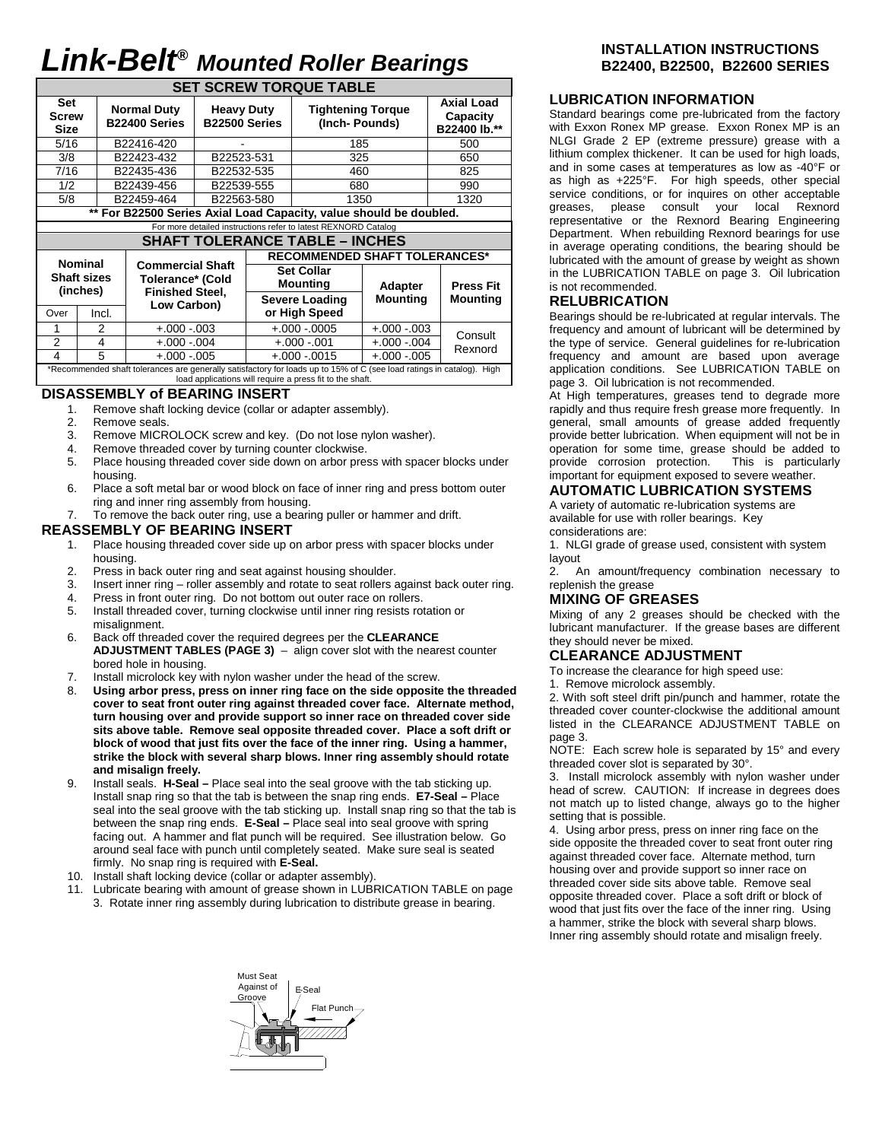# **Link-Belt® Mounted Roller Bearings**

| <b>SET SCREW TORQUE TABLE</b>                                  |                                                                    |                                                    |                                    |  |                                           |                                               |                  |  |  |  |  |  |  |  |
|----------------------------------------------------------------|--------------------------------------------------------------------|----------------------------------------------------|------------------------------------|--|-------------------------------------------|-----------------------------------------------|------------------|--|--|--|--|--|--|--|
| Set<br>Screw<br><b>Size</b>                                    |                                                                    | <b>Normal Duty</b><br>B22400 Series                | <b>Heavy Duty</b><br>B22500 Series |  | <b>Tightening Torque</b><br>(Inch-Pounds) | <b>Axial Load</b><br>Capacity<br>B22400 lb.** |                  |  |  |  |  |  |  |  |
| 5/16                                                           |                                                                    | B22416-420                                         |                                    |  | 185                                       | 500                                           |                  |  |  |  |  |  |  |  |
| 3/8                                                            |                                                                    | B22423-432                                         | B22523-531                         |  | 325                                       | 650                                           |                  |  |  |  |  |  |  |  |
| 7/16                                                           |                                                                    | B22435-436                                         | B22532-535                         |  | 460                                       | 825                                           |                  |  |  |  |  |  |  |  |
| 1/2                                                            |                                                                    | B22439-456                                         | B22539-555                         |  | 680                                       |                                               | 990              |  |  |  |  |  |  |  |
| 5/8                                                            |                                                                    | B22459-464                                         | B22563-580                         |  | 1350                                      |                                               | 1320             |  |  |  |  |  |  |  |
|                                                                | ** For B22500 Series Axial Load Capacity, value should be doubled. |                                                    |                                    |  |                                           |                                               |                  |  |  |  |  |  |  |  |
| For more detailed instructions refer to latest REXNORD Catalog |                                                                    |                                                    |                                    |  |                                           |                                               |                  |  |  |  |  |  |  |  |
|                                                                | <b>SHAFT TOLERANCE TABLE - INCHES</b>                              |                                                    |                                    |  |                                           |                                               |                  |  |  |  |  |  |  |  |
|                                                                |                                                                    |                                                    |                                    |  |                                           |                                               |                  |  |  |  |  |  |  |  |
|                                                                |                                                                    |                                                    |                                    |  | <b>RECOMMENDED SHAFT TOLERANCES*</b>      |                                               |                  |  |  |  |  |  |  |  |
|                                                                | <b>Nominal</b><br><b>Shaft sizes</b>                               | <b>Commercial Shaft</b><br><b>Tolerance* (Cold</b> |                                    |  | <b>Set Collar</b><br><b>Mounting</b>      | <b>Adapter</b>                                | <b>Press Fit</b> |  |  |  |  |  |  |  |
|                                                                | (inches)                                                           | <b>Finished Steel,</b>                             |                                    |  | <b>Severe Loading</b>                     | <b>Mounting</b>                               | <b>Mounting</b>  |  |  |  |  |  |  |  |
| Over                                                           | Incl.                                                              | Low Carbon)                                        |                                    |  | or High Speed                             |                                               |                  |  |  |  |  |  |  |  |
|                                                                | 2                                                                  | $+.000-.003$                                       |                                    |  | $+.000-.0005$                             | $+.000-.003$                                  |                  |  |  |  |  |  |  |  |
| $\overline{2}$                                                 | 4                                                                  | $+.000-.004$                                       |                                    |  | $+.000-.001$                              | $+.000-.004$                                  | Consult          |  |  |  |  |  |  |  |
| $\overline{4}$                                                 | 5                                                                  | $+.000-.005$                                       |                                    |  | $+.000-.0015$                             | $+.000-.005$                                  | Rexnord          |  |  |  |  |  |  |  |

### **DISASSEMBLY of BEARING INSERT**

- 1. Remove shaft locking device (collar or adapter assembly).
- 2. Remove seals.
- 3. Remove MICROLOCK screw and key. (Do not lose nylon washer).
- 4. Remove threaded cover by turning counter clockwise.
- 5. Place housing threaded cover side down on arbor press with spacer blocks under housing.
- 6. Place a soft metal bar or wood block on face of inner ring and press bottom outer ring and inner ring assembly from housing.
- 7. To remove the back outer ring, use a bearing puller or hammer and drift.

#### **REASSEMBLY OF BEARING INSERT**

- 1. Place housing threaded cover side up on arbor press with spacer blocks under housing.
- 2. Press in back outer ring and seat against housing shoulder.
- 3. Insert inner ring roller assembly and rotate to seat rollers against back outer ring.
- 4. Press in front outer ring. Do not bottom out outer race on rollers.
- 5. Install threaded cover, turning clockwise until inner ring resists rotation or misalignment.
- 6. Back off threaded cover the required degrees per the **CLEARANCE ADJUSTMENT TABLES (PAGE 3)** – align cover slot with the nearest counter bored hole in housing.
- 7. Install microlock key with nylon washer under the head of the screw.
- 8. **Using arbor press, press on inner ring face on the side opposite the threaded cover to seat front outer ring against threaded cover face. Alternate method, turn housing over and provide support so inner race on threaded cover side sits above table. Remove seal opposite threaded cover. Place a soft drift or block of wood that just fits over the face of the inner ring. Using a hammer, strike the block with several sharp blows. Inner ring assembly should rotate and misalign freely.**
- 9. Install seals. **H-Seal** Place seal into the seal groove with the tab sticking up. Install snap ring so that the tab is between the snap ring ends. **E7-Seal –** Place seal into the seal groove with the tab sticking up. Install snap ring so that the tab is between the snap ring ends. **E-Seal –** Place seal into seal groove with spring facing out. A hammer and flat punch will be required. See illustration below. Go around seal face with punch until completely seated. Make sure seal is seated firmly. No snap ring is required with **E-Seal.**
- 10. Install shaft locking device (collar or adapter assembly).
- Lubricate bearing with amount of grease shown in LUBRICATION TABLE on page 3. Rotate inner ring assembly during lubrication to distribute grease in bearing.

#### **INSTALLATION INSTRUCTIONS B22400, B22500, B22600 SERIES**

#### **LUBRICATION INFORMATION**

Standard bearings come pre-lubricated from the factory with Exxon Ronex MP grease. Exxon Ronex MP is an NLGI Grade 2 EP (extreme pressure) grease with a lithium complex thickener. It can be used for high loads, and in some cases at temperatures as low as -40°F or as high as +225°F. For high speeds, other special service conditions, or for inquires on other acceptable greases, please consult your local Rexnord representative or the Rexnord Bearing Engineering Department. When rebuilding Rexnord bearings for use in average operating conditions, the bearing should be lubricated with the amount of grease by weight as shown in the LUBRICATION TABLE on page 3. Oil lubrication is not recommended.

#### **RELUBRICATION**

Bearings should be re-lubricated at regular intervals. The frequency and amount of lubricant will be determined by the type of service. General guidelines for re-lubrication frequency and amount are based upon average application conditions. See LUBRICATION TABLE on page 3. Oil lubrication is not recommended.

At High temperatures, greases tend to degrade more rapidly and thus require fresh grease more frequently. In general, small amounts of grease added frequently provide better lubrication. When equipment will not be in operation for some time, grease should be added to provide corrosion protection. This is particularly important for equipment exposed to severe weather.

## **AUTOMATIC LUBRICATION SYSTEMS**

A variety of automatic re-lubrication systems are available for use with roller bearings. Key considerations are:

1. NLGI grade of grease used, consistent with system layout

2. An amount/frequency combination necessary to replenish the grease

#### **MIXING OF GREASES**

Mixing of any 2 greases should be checked with the lubricant manufacturer. If the grease bases are different they should never be mixed.

### **CLEARANCE ADJUSTMENT**

To increase the clearance for high speed use:

1. Remove microlock assembly.

2. With soft steel drift pin/punch and hammer, rotate the threaded cover counter-clockwise the additional amount listed in the CLEARANCE ADJUSTMENT TABLE on page 3.

NOTE: Each screw hole is separated by 15° and every threaded cover slot is separated by 30°.

3. Install microlock assembly with nylon washer under head of screw. CAUTION: If increase in degrees does not match up to listed change, always go to the higher setting that is possible.

4. Using arbor press, press on inner ring face on the side opposite the threaded cover to seat front outer ring against threaded cover face. Alternate method, turn housing over and provide support so inner race on threaded cover side sits above table. Remove seal opposite threaded cover. Place a soft drift or block of wood that just fits over the face of the inner ring. Using a hammer, strike the block with several sharp blows. Inner ring assembly should rotate and misalign freely.